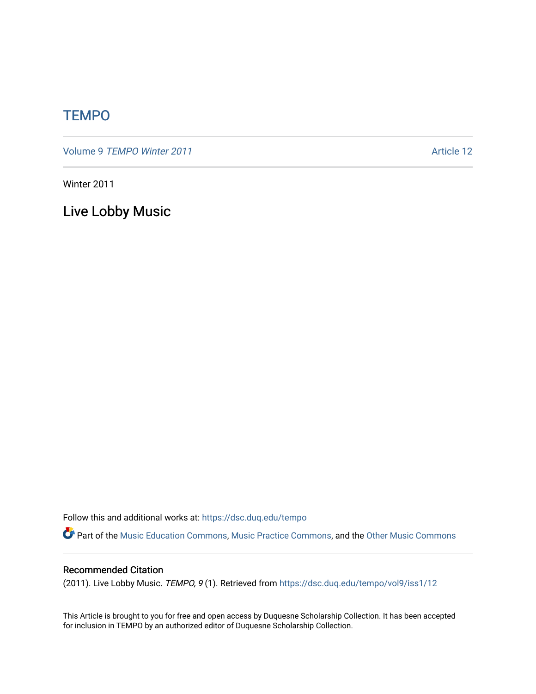## **TEMPO**

Volume 9 [TEMPO Winter 2011](https://dsc.duq.edu/tempo/vol9) Article 12

Winter 2011

Live Lobby Music

Follow this and additional works at: [https://dsc.duq.edu/tempo](https://dsc.duq.edu/tempo?utm_source=dsc.duq.edu%2Ftempo%2Fvol9%2Fiss1%2F12&utm_medium=PDF&utm_campaign=PDFCoverPages) 

Part of the [Music Education Commons,](http://network.bepress.com/hgg/discipline/1246?utm_source=dsc.duq.edu%2Ftempo%2Fvol9%2Fiss1%2F12&utm_medium=PDF&utm_campaign=PDFCoverPages) [Music Practice Commons,](http://network.bepress.com/hgg/discipline/523?utm_source=dsc.duq.edu%2Ftempo%2Fvol9%2Fiss1%2F12&utm_medium=PDF&utm_campaign=PDFCoverPages) and the [Other Music Commons](http://network.bepress.com/hgg/discipline/524?utm_source=dsc.duq.edu%2Ftempo%2Fvol9%2Fiss1%2F12&utm_medium=PDF&utm_campaign=PDFCoverPages)

#### Recommended Citation

(2011). Live Lobby Music. TEMPO, 9 (1). Retrieved from [https://dsc.duq.edu/tempo/vol9/iss1/12](https://dsc.duq.edu/tempo/vol9/iss1/12?utm_source=dsc.duq.edu%2Ftempo%2Fvol9%2Fiss1%2F12&utm_medium=PDF&utm_campaign=PDFCoverPages) 

This Article is brought to you for free and open access by Duquesne Scholarship Collection. It has been accepted for inclusion in TEMPO by an authorized editor of Duquesne Scholarship Collection.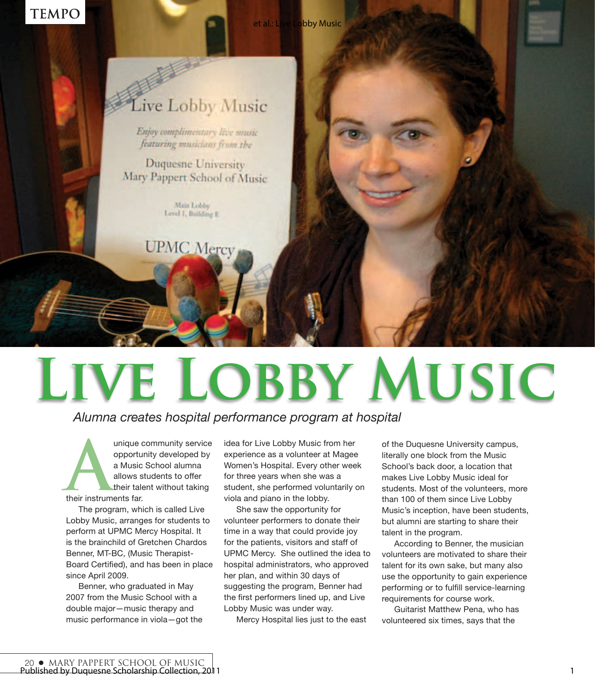

et al.: Live Lobby Music

## Live Lobby Music

Enjoy complimentary live music featuring musicians from the

**Duquesne University** Mary Pappert School of Music

> Main Lobby Level 1, Building E

**UPMC Mercy** 

# **Live Lobby Music**

### *Alumna creates hospital performance program at hospital*

unique community service<br>
opportunity developed by<br>
a Music School alumna<br>
allows students to offer<br>
their talent without taking<br>
their instruments far. opportunity developed by a Music School alumna allows students to offer their talent without taking their instruments far.

The program, which is called Live Lobby Music, arranges for students to perform at UPMC Mercy Hospital. It is the brainchild of Gretchen Chardos Benner, MT-BC, (Music Therapist-Board Certified), and has been in place since April 2009.

Benner, who graduated in May 2007 from the Music School with a double major—music therapy and music performance in viola—got the idea for Live Lobby Music from her experience as a volunteer at Magee Women's Hospital. Every other week for three years when she was a student, she performed voluntarily on viola and piano in the lobby.

She saw the opportunity for volunteer performers to donate their time in a way that could provide joy for the patients, visitors and staff of UPMC Mercy. She outlined the idea to hospital administrators, who approved her plan, and within 30 days of suggesting the program, Benner had the first performers lined up, and Live Lobby Music was under way.

Mercy Hospital lies just to the east

of the Duquesne University campus, literally one block from the Music School's back door, a location that makes Live Lobby Music ideal for students. Most of the volunteers, more than 100 of them since Live Lobby Music's inception, have been students, but alumni are starting to share their talent in the program.

According to Benner, the musician volunteers are motivated to share their talent for its own sake, but many also use the opportunity to gain experience performing or to fulfill service-learning requirements for course work.

Guitarist Matthew Pena, who has volunteered six times, says that the